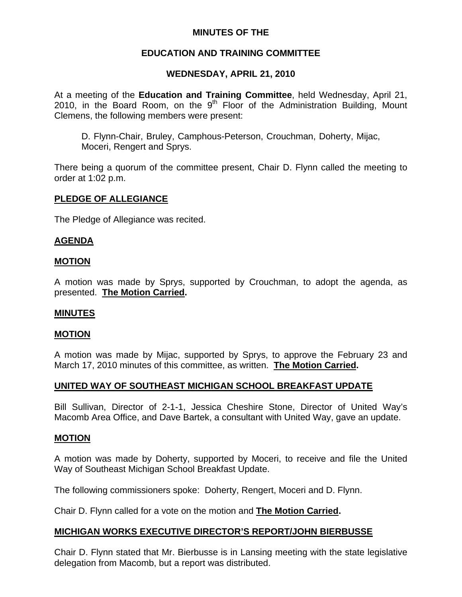## **MINUTES OF THE**

# **EDUCATION AND TRAINING COMMITTEE**

# **WEDNESDAY, APRIL 21, 2010**

At a meeting of the **Education and Training Committee**, held Wednesday, April 21, 2010, in the Board Room, on the  $9<sup>th</sup>$  Floor of the Administration Building, Mount Clemens, the following members were present:

D. Flynn-Chair, Bruley, Camphous-Peterson, Crouchman, Doherty, Mijac, Moceri, Rengert and Sprys.

There being a quorum of the committee present, Chair D. Flynn called the meeting to order at 1:02 p.m.

### **PLEDGE OF ALLEGIANCE**

The Pledge of Allegiance was recited.

## **AGENDA**

#### **MOTION**

A motion was made by Sprys, supported by Crouchman, to adopt the agenda, as presented. **The Motion Carried.** 

#### **MINUTES**

#### **MOTION**

A motion was made by Mijac, supported by Sprys, to approve the February 23 and March 17, 2010 minutes of this committee, as written. **The Motion Carried.** 

## **UNITED WAY OF SOUTHEAST MICHIGAN SCHOOL BREAKFAST UPDATE**

Bill Sullivan, Director of 2-1-1, Jessica Cheshire Stone, Director of United Way's Macomb Area Office, and Dave Bartek, a consultant with United Way, gave an update.

#### **MOTION**

A motion was made by Doherty, supported by Moceri, to receive and file the United Way of Southeast Michigan School Breakfast Update.

The following commissioners spoke: Doherty, Rengert, Moceri and D. Flynn.

Chair D. Flynn called for a vote on the motion and **The Motion Carried.** 

## **MICHIGAN WORKS EXECUTIVE DIRECTOR'S REPORT/JOHN BIERBUSSE**

Chair D. Flynn stated that Mr. Bierbusse is in Lansing meeting with the state legislative delegation from Macomb, but a report was distributed.